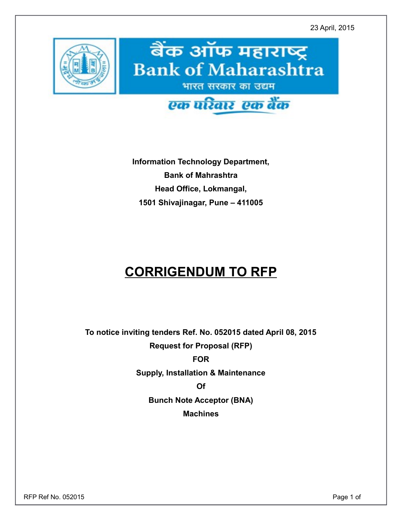23 April, 2015



**Information Technology Department, Bank of Mahrashtra Head Office, Lokmangal, 1501 Shivajinagar, Pune – 411005**

## **CORRIGENDUM TO RFP**

**To notice inviting tenders Ref. No. 052015 dated April 08, 2015 Request for Proposal (RFP)**

**FOR**

**Supply, Installation & Maintenance**

**Of**

**Bunch Note Acceptor (BNA)**

**Machines**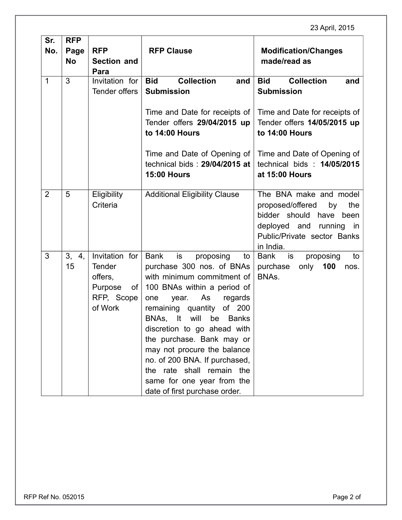## 23 April, 2015

| Sr.            | <b>RFP</b> |                    |                                        |                                          |  |
|----------------|------------|--------------------|----------------------------------------|------------------------------------------|--|
| No.            | Page       | <b>RFP</b>         | <b>RFP Clause</b>                      | <b>Modification/Changes</b>              |  |
|                | <b>No</b>  | <b>Section and</b> |                                        | made/read as                             |  |
|                |            | Para               |                                        |                                          |  |
| $\mathbf{1}$   | 3          | Invitation for     | <b>Collection</b><br><b>Bid</b><br>and | <b>Collection</b><br><b>Bid</b><br>and   |  |
|                |            | Tender offers      | <b>Submission</b>                      | <b>Submission</b>                        |  |
|                |            |                    |                                        |                                          |  |
|                |            |                    | Time and Date for receipts of          | Time and Date for receipts of            |  |
|                |            |                    | Tender offers 29/04/2015 up            | Tender offers 14/05/2015 up              |  |
|                |            |                    | to 14:00 Hours                         | to 14:00 Hours                           |  |
|                |            |                    | Time and Date of Opening of            | Time and Date of Opening of              |  |
|                |            |                    | technical bids: 29/04/2015 at          | technical bids: 14/05/2015               |  |
|                |            |                    | <b>15:00 Hours</b>                     | at 15:00 Hours                           |  |
|                |            |                    |                                        |                                          |  |
| $\overline{2}$ | 5          | Eligibility        | <b>Additional Eligibility Clause</b>   | The BNA make and model                   |  |
|                |            | Criteria           |                                        | proposed/offered<br>by<br>the            |  |
|                |            |                    |                                        | bidder should have<br>been               |  |
|                |            |                    |                                        | deployed and running in                  |  |
|                |            |                    |                                        | Public/Private sector Banks<br>in India. |  |
| 3              | 4,<br>3,   | Invitation for     | <b>Bank</b><br>is<br>proposing<br>to   | <b>Bank</b><br>is<br>proposing<br>to     |  |
|                | 15         | <b>Tender</b>      | purchase 300 nos. of BNAs              | only<br>100<br>purchase<br>nos.          |  |
|                |            | offers,            | with minimum commitment of             | BNAs.                                    |  |
|                |            | Purpose<br>of      | 100 BNAs within a period of            |                                          |  |
|                |            | RFP, Scope         | As<br>year.<br>regards<br>one          |                                          |  |
|                |            | of Work            | remaining quantity<br>of 200           |                                          |  |
|                |            |                    | BNAs, It<br>will<br>be<br><b>Banks</b> |                                          |  |
|                |            |                    | discretion to go ahead with            |                                          |  |
|                |            |                    | the purchase. Bank may or              |                                          |  |
|                |            |                    | may not procure the balance            |                                          |  |
|                |            |                    | no. of 200 BNA. If purchased,          |                                          |  |
|                |            |                    | the rate shall remain the              |                                          |  |
|                |            |                    | same for one year from the             |                                          |  |
|                |            |                    | date of first purchase order.          |                                          |  |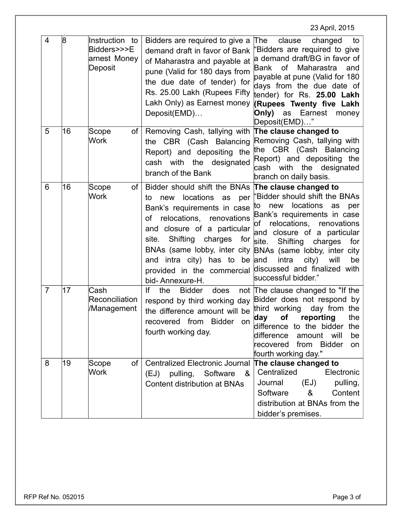|                |    |                                                          |                                                                                                                                                                                                                                                                                                             | 23 April, 2015                                                                                                                                                                                                                                                                                                                                                                |
|----------------|----|----------------------------------------------------------|-------------------------------------------------------------------------------------------------------------------------------------------------------------------------------------------------------------------------------------------------------------------------------------------------------------|-------------------------------------------------------------------------------------------------------------------------------------------------------------------------------------------------------------------------------------------------------------------------------------------------------------------------------------------------------------------------------|
| 4              | 8  | Instruction to<br>Bidders>>>E<br>arnest Money<br>Deposit | Bidders are required to give a<br>demand draft in favor of Bank<br>of Maharastra and payable at<br>pune (Valid for 180 days from<br>the due date of tender) for<br>Rs. 25.00 Lakh (Rupees Fifty<br>Lakh Only) as Earnest money<br>Deposit(EMD)                                                              | clause<br>changed<br>∣The<br>to<br>'Bidders are required to give<br>a demand draft/BG in favor of<br><b>of</b><br>Maharastra<br>Bank<br>and<br>payable at pune (Valid for 180<br>days from the due date of<br>tender) for Rs. 25.00 Lakh<br><b>(Rupees Twenty five Lakh</b><br>Only)<br>Earnest<br>as<br>money<br>Deposit(EMD)"                                               |
| 5              | 16 | Scope<br>οf<br><b>Work</b>                               | Removing Cash, tallying with<br>the CBR (Cash Balancing<br>Report) and depositing the<br>cash with the designated<br>branch of the Bank                                                                                                                                                                     | The clause changed to<br>Removing Cash, tallying with<br>the CBR (Cash Balancing<br>Report) and depositing the<br>with the<br>designated<br>cash<br>branch on daily basis.                                                                                                                                                                                                    |
| 6              | 16 | of<br>Scope<br><b>Work</b>                               | Bidder should shift the BNAs The clause changed to<br>new locations<br>as<br>per<br>to<br>Bank's requirements in case<br>relocations,<br>0f<br>renovations<br>and closure of a particular<br>Shifting<br>charges<br>site.<br>for<br>and intra city) has to<br>provided in the commercial<br>bid-Annexure-H. | "Bidder should shift the BNAs<br>locations<br>as<br>new<br>per<br>ΙO<br>Bank's requirements in case<br>relocations,<br>renovations<br>lof<br>and closure of a particular<br>site.<br>Shifting<br>charges<br>for<br>BNAs (same lobby, inter city BNAs (same lobby, inter city<br>intra<br>city)<br>will<br>be and<br>be<br>discussed and finalized with<br>successful bidder." |
| $\overline{7}$ | 17 | Cash<br>Reconciliation<br>/Management                    | lf<br>the<br><b>Bidder</b><br>does<br>respond by third working day<br>the difference amount will be<br>recovered from Bidder<br>on<br>fourth working day.                                                                                                                                                   | not The clause changed to "If the<br>Bidder does not respond by<br>third working<br>day from the<br>day<br><b>of</b><br>reporting<br>the<br>difference to the bidder the<br>difference amount will<br>be<br>recovered from Bidder<br>on<br>fourth working day."                                                                                                               |
| 8              | 19 | of<br>Scope<br>Work                                      | <b>Centralized Electronic Journal</b><br>(EJ) pulling, Software<br>&<br>Content distribution at BNAs                                                                                                                                                                                                        | The clause changed to<br>Centralized<br>Electronic<br>(EJ)<br>Journal<br>pulling,<br>Content<br>Software<br>&<br>distribution at BNAs from the<br>bidder's premises.                                                                                                                                                                                                          |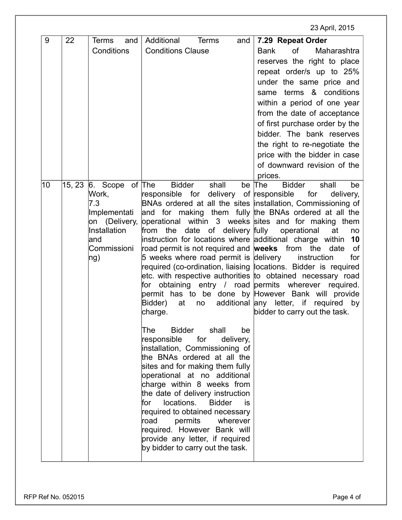23 April, 2015

| 9  | 22     | Terms<br>and<br>Conditions                                                                     | Additional<br><b>Terms</b><br>and<br><b>Conditions Clause</b>                                                                                                                                                                                                                                                                                                                                                                                                                                                                                                                                                                                                                                                                                                                                                                                                                                                                                                                                                                                                                                                                                                                                                                                                                     | 7.29 Repeat Order<br>Maharashtra<br><b>Bank</b><br>of<br>reserves the right to place<br>repeat order/s up to 25%<br>under the same price and<br>same terms & conditions<br>within a period of one year<br>from the date of acceptance<br>of first purchase order by the<br>bidder. The bank reserves<br>the right to re-negotiate the<br>price with the bidder in case<br>of downward revision of the<br>prices. |
|----|--------|------------------------------------------------------------------------------------------------|-----------------------------------------------------------------------------------------------------------------------------------------------------------------------------------------------------------------------------------------------------------------------------------------------------------------------------------------------------------------------------------------------------------------------------------------------------------------------------------------------------------------------------------------------------------------------------------------------------------------------------------------------------------------------------------------------------------------------------------------------------------------------------------------------------------------------------------------------------------------------------------------------------------------------------------------------------------------------------------------------------------------------------------------------------------------------------------------------------------------------------------------------------------------------------------------------------------------------------------------------------------------------------------|------------------------------------------------------------------------------------------------------------------------------------------------------------------------------------------------------------------------------------------------------------------------------------------------------------------------------------------------------------------------------------------------------------------|
| 10 | 15, 23 | 6. Scope of The<br>Work,<br>7.3<br>Implementati<br>Installation<br>land<br>Commissioni<br> ng) | <b>Bidder</b><br>shall<br>responsible for delivery of responsible<br>BNAs ordered at all the sites installation, Commissioning of<br>and for making them fully the BNAs ordered at all the<br>on (Delivery, operational within 3 weeks sites and for making them<br>from the date of delivery fully operational<br>instruction for locations where additional charge within<br>road permit is not required and <b>weeks</b> from the<br>$5$ weeks where road permit is delivery instruction<br>required (co-ordination, liaising locations. Bidder is required<br>etc. with respective authorities to obtained necessary road<br>for obtaining entry / road permits wherever required.<br>permit has to be done by However Bank will provide<br>Bidder)<br>at<br>no<br>charge.<br>The<br><b>Bidder</b><br>shall<br>be<br>for<br>responsible<br>delivery,<br>installation, Commissioning of<br>the BNAs ordered at all the<br>sites and for making them fully<br>operational at no additional<br>charge within 8 weeks from<br>the date of delivery instruction<br>locations.<br><b>Bidder</b><br>for<br>is<br>required to obtained necessary<br>permits<br>wherever<br>road<br>required. However Bank will<br>provide any letter, if required<br>by bidder to carry out the task. | be The<br><b>Bidder</b><br>shall<br>be<br>for<br>delivery,<br>at<br>no<br>10<br>date<br>of<br>for<br>additional any letter, if required by<br>bidder to carry out the task.                                                                                                                                                                                                                                      |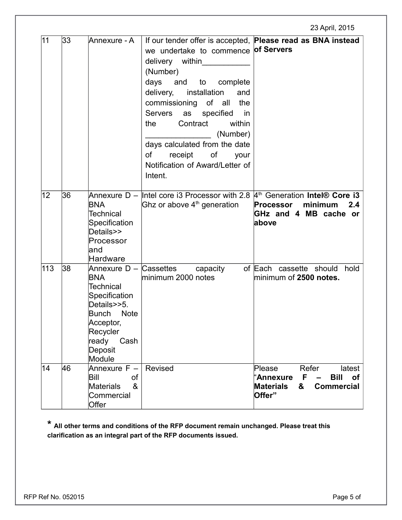|     |    |                                                                                                                                                |                                                                                                                                                                                                                                                                                                                                                                    | 23 April, 2015                                                                                                                                              |
|-----|----|------------------------------------------------------------------------------------------------------------------------------------------------|--------------------------------------------------------------------------------------------------------------------------------------------------------------------------------------------------------------------------------------------------------------------------------------------------------------------------------------------------------------------|-------------------------------------------------------------------------------------------------------------------------------------------------------------|
| 11  | 33 | Annexure - A                                                                                                                                   | we undertake to commence of Servers<br>delivery within<br>(Number)<br>and to complete<br>days<br>delivery,<br>installation<br>and<br>commissioning of all<br>the<br><b>Servers</b><br>as<br>specified<br>in<br>Contract<br>within<br>the<br>(Number)<br>days calculated from the date<br>0f<br>receipt<br>of<br>your<br>Notification of Award/Letter of<br>Intent. | If our tender offer is accepted, Please read as BNA instead                                                                                                 |
| 12  | 36 | <b>BNA</b><br><b>Technical</b><br>Specification<br>Details>><br>Processor<br>land<br>Hardware                                                  | Annexure D – Intel core i3 Processor with 2.8 $4th$ Generation Intel® Core i3<br>Ghz or above $4th$ generation                                                                                                                                                                                                                                                     | minimum<br>2.4<br><b>Processor</b><br>GHz and 4 MB cache or<br>above                                                                                        |
| 113 | 38 | BNA<br><b>Technical</b><br>Specification<br>Details>>5.<br><b>Note</b><br>Bunch<br>Acceptor,<br>Recycler<br>ready<br>Cash<br>Deposit<br>Module | Annexure D – Cassettes capacity<br>minimum 2000 notes                                                                                                                                                                                                                                                                                                              | of Each cassette should<br>hold<br>minimum of 2500 notes.                                                                                                   |
| 14  | 46 | Annexure F -<br>Bill<br>οf<br>$\alpha$<br><b>Materials</b><br>Commercial<br>Offer                                                              | Revised                                                                                                                                                                                                                                                                                                                                                            | Refer<br>latest<br>Please<br>F<br><b>Bill</b><br>"Annexure<br><b>of</b><br>$\overline{\phantom{m}}$<br><b>Materials</b><br>&<br><b>Commercial</b><br>Offer" |

**\* All other terms and conditions of the RFP document remain unchanged. Please treat this clarification as an integral part of the RFP documents issued.**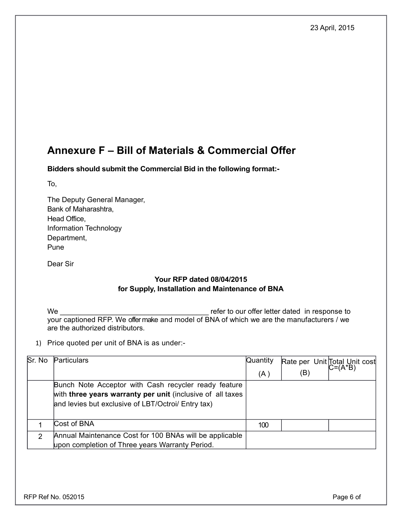## **Annexure F – Bill of Materials & Commercial Offer**

**Bidders should submit the Commercial Bid in the following format:-**

To,

The Deputy General Manager, Bank of Maharashtra, Head Office, Information Technology Department, Pune

Dear Sir

## **Your RFP dated 08/04/2015 for Supply, Installation and Maintenance of BNA**

We \_\_\_\_\_\_\_\_\_\_\_\_\_\_\_\_\_\_\_\_\_\_\_\_\_\_\_\_\_\_\_\_\_\_\_\_\_ refer to our offer letter dated in response to your captioned RFP. We offer make and model of BNA of which we are the manufacturers / we are the authorized distributors.

1) Price quoted per unit of BNA is as under:-

| Sr. No | Particulars                                                | Quantity |     | Rate per Unit Total Unit cost |
|--------|------------------------------------------------------------|----------|-----|-------------------------------|
|        |                                                            | (A)      | (B) |                               |
|        | Bunch Note Acceptor with Cash recycler ready feature       |          |     |                               |
|        | with three years warranty per unit (inclusive of all taxes |          |     |                               |
|        | and levies but exclusive of LBT/Octroi/ Entry tax)         |          |     |                               |
|        |                                                            |          |     |                               |
|        | Cost of BNA                                                | 100      |     |                               |
| າ      | Annual Maintenance Cost for 100 BNAs will be applicable    |          |     |                               |
|        | upon completion of Three years Warranty Period.            |          |     |                               |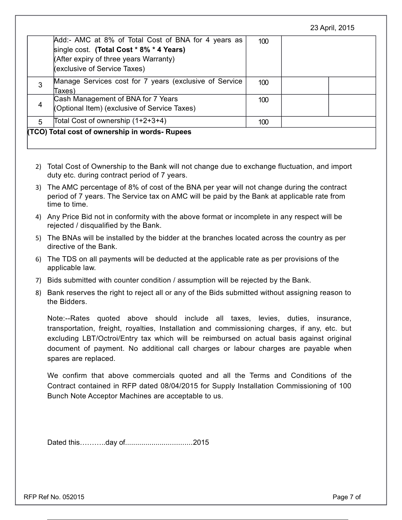|  |  | 23 April, 2015 |
|--|--|----------------|
|--|--|----------------|

|   | Add:- AMC at 8% of Total Cost of BNA for 4 years as<br>single cost. (Total Cost * 8% * 4 Years)<br>(After expiry of three years Warranty)<br>(exclusive of Service Taxes) | 100 |  |
|---|---------------------------------------------------------------------------------------------------------------------------------------------------------------------------|-----|--|
| 3 | Manage Services cost for 7 years (exclusive of Service<br>Taxes)                                                                                                          | 100 |  |
|   | Cash Management of BNA for 7 Years<br>(Optional Item) (exclusive of Service Taxes)                                                                                        | 100 |  |
| 5 | Total Cost of ownership (1+2+3+4)                                                                                                                                         | 100 |  |
|   | (TCO) Total cost of ownership in words- Rupees                                                                                                                            |     |  |

- 2) Total Cost of Ownership to the Bank will not change due to exchange fluctuation, and import duty etc. during contract period of 7 years.
- 3) The AMC percentage of 8% of cost of the BNA per year will not change during the contract period of 7 years. The Service tax on AMC will be paid by the Bank at applicable rate from time to time.
- 4) Any Price Bid not in conformity with the above format or incomplete in any respect will be rejected / disqualified by the Bank.
- 5) The BNAs will be installed by the bidder at the branches located across the country as per directive of the Bank.
- 6) The TDS on all payments will be deducted at the applicable rate as per provisions of the applicable law.
- 7) Bids submitted with counter condition / assumption will be rejected by the Bank.
- 8) Bank reserves the right to reject all or any of the Bids submitted without assigning reason to the Bidders.

Note:--Rates quoted above should include all taxes, levies, duties, insurance, transportation, freight, royalties, Installation and commissioning charges, if any, etc. but excluding LBT/Octroi/Entry tax which will be reimbursed on actual basis against original document of payment. No additional call charges or labour charges are payable when spares are replaced.

We confirm that above commercials quoted and all the Terms and Conditions of the Contract contained in RFP dated 08/04/2015 for Supply Installation Commissioning of 100 Bunch Note Acceptor Machines are acceptable to us.

Dated this………..day of.................................2015